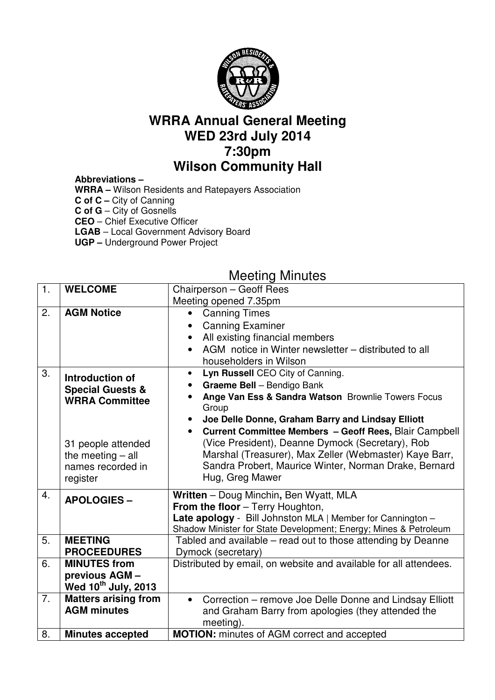

# **WRRA Annual General Meeting WED 23rd July 2014 7:30pm Wilson Community Hall**

#### **Abbreviations –**

**WRRA –** Wilson Residents and Ratepayers Association **C of C –** City of Canning **C of G** – City of Gosnells **CEO** – Chief Executive Officer **LGAB** – Local Government Advisory Board **UGP –** Underground Power Project

# Meeting Minutes

| 1. | <b>WELCOME</b>                                                             | Chairperson - Geoff Rees                                                                                                                                                                                                                                                                                                                |  |  |  |
|----|----------------------------------------------------------------------------|-----------------------------------------------------------------------------------------------------------------------------------------------------------------------------------------------------------------------------------------------------------------------------------------------------------------------------------------|--|--|--|
|    |                                                                            | Meeting opened 7.35pm                                                                                                                                                                                                                                                                                                                   |  |  |  |
| 2. | <b>AGM Notice</b>                                                          | <b>Canning Times</b><br>$\bullet$<br><b>Canning Examiner</b><br>All existing financial members<br>AGM notice in Winter newsletter – distributed to all<br>householders in Wilson                                                                                                                                                        |  |  |  |
| 3. | Introduction of<br><b>Special Guests &amp;</b><br><b>WRRA Committee</b>    | Lyn Russell CEO City of Canning.<br>$\bullet$<br>Graeme Bell - Bendigo Bank<br>$\bullet$<br>Ange Van Ess & Sandra Watson Brownlie Towers Focus<br>Group<br>Joe Delle Donne, Graham Barry and Lindsay Elliott<br>Current Committee Members - Geoff Rees, Blair Campbell<br>$\bullet$<br>(Vice President), Deanne Dymock (Secretary), Rob |  |  |  |
|    | 31 people attended<br>the meeting $-$ all<br>names recorded in<br>register | Marshal (Treasurer), Max Zeller (Webmaster) Kaye Barr,<br>Sandra Probert, Maurice Winter, Norman Drake, Bernard<br>Hug, Greg Mawer                                                                                                                                                                                                      |  |  |  |
| 4. | <b>APOLOGIES -</b>                                                         | Written - Doug Minchin, Ben Wyatt, MLA<br>From the floor - Terry Houghton,<br>Late apology - Bill Johnston MLA   Member for Cannington -<br>Shadow Minister for State Development; Energy; Mines & Petroleum                                                                                                                            |  |  |  |
| 5. | <b>MEETING</b><br><b>PROCEEDURES</b>                                       | Tabled and available – read out to those attending by Deanne<br>Dymock (secretary)                                                                                                                                                                                                                                                      |  |  |  |
| 6. | <b>MINUTES from</b><br>previous AGM -<br>Wed 10 <sup>th</sup> July, 2013   | Distributed by email, on website and available for all attendees.                                                                                                                                                                                                                                                                       |  |  |  |
| 7. | <b>Matters arising from</b><br><b>AGM minutes</b>                          | Correction - remove Joe Delle Donne and Lindsay Elliott<br>$\bullet$<br>and Graham Barry from apologies (they attended the<br>meeting).                                                                                                                                                                                                 |  |  |  |
| 8. | <b>Minutes accepted</b>                                                    | <b>MOTION:</b> minutes of AGM correct and accepted                                                                                                                                                                                                                                                                                      |  |  |  |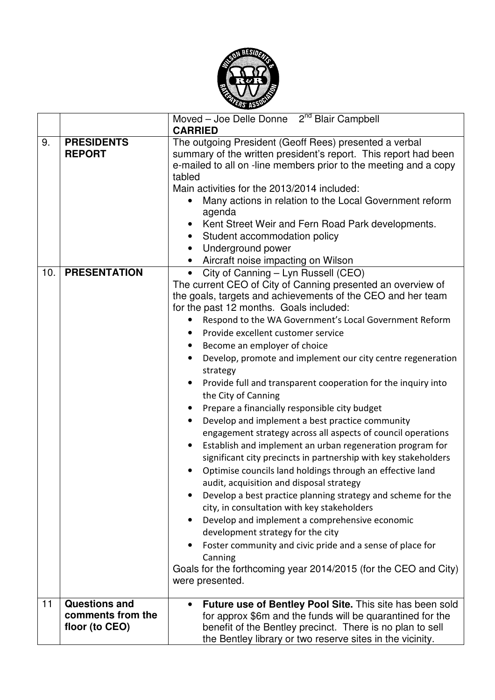

|     |                                                             | Moved - Joe Delle Donne 2 <sup>nd</sup> Blair Campbell<br><b>CARRIED</b>                                                                                                                                                                                                                                                                                                                                                                                                                                                                                                                                                                                                                                                                                                                                                                                                                                                                                                                                                                                                                                                                                                                                                                                                                                                                |
|-----|-------------------------------------------------------------|-----------------------------------------------------------------------------------------------------------------------------------------------------------------------------------------------------------------------------------------------------------------------------------------------------------------------------------------------------------------------------------------------------------------------------------------------------------------------------------------------------------------------------------------------------------------------------------------------------------------------------------------------------------------------------------------------------------------------------------------------------------------------------------------------------------------------------------------------------------------------------------------------------------------------------------------------------------------------------------------------------------------------------------------------------------------------------------------------------------------------------------------------------------------------------------------------------------------------------------------------------------------------------------------------------------------------------------------|
| 9.  | <b>PRESIDENTS</b><br><b>REPORT</b>                          | The outgoing President (Geoff Rees) presented a verbal<br>summary of the written president's report. This report had been<br>e-mailed to all on -line members prior to the meeting and a copy<br>tabled<br>Main activities for the 2013/2014 included:<br>Many actions in relation to the Local Government reform<br>agenda<br>Kent Street Weir and Fern Road Park developments.<br>Student accommodation policy<br>$\bullet$<br>Underground power<br>Aircraft noise impacting on Wilson                                                                                                                                                                                                                                                                                                                                                                                                                                                                                                                                                                                                                                                                                                                                                                                                                                                |
| 10. | <b>PRESENTATION</b>                                         | City of Canning - Lyn Russell (CEO)<br>The current CEO of City of Canning presented an overview of<br>the goals, targets and achievements of the CEO and her team<br>for the past 12 months. Goals included:<br>Respond to the WA Government's Local Government Reform<br>Provide excellent customer service<br>Become an employer of choice<br>Develop, promote and implement our city centre regeneration<br>strategy<br>Provide full and transparent cooperation for the inquiry into<br>the City of Canning<br>Prepare a financially responsible city budget<br>Develop and implement a best practice community<br>$\bullet$<br>engagement strategy across all aspects of council operations<br>Establish and implement an urban regeneration program for<br>$\bullet$<br>significant city precincts in partnership with key stakeholders<br>Optimise councils land holdings through an effective land<br>audit, acquisition and disposal strategy<br>Develop a best practice planning strategy and scheme for the<br>city, in consultation with key stakeholders<br>Develop and implement a comprehensive economic<br>$\bullet$<br>development strategy for the city<br>Foster community and civic pride and a sense of place for<br>Canning<br>Goals for the forthcoming year 2014/2015 (for the CEO and City)<br>were presented. |
| 11  | <b>Questions and</b><br>comments from the<br>floor (to CEO) | Future use of Bentley Pool Site. This site has been sold<br>for approx \$6m and the funds will be quarantined for the<br>benefit of the Bentley precinct. There is no plan to sell<br>the Bentley library or two reserve sites in the vicinity.                                                                                                                                                                                                                                                                                                                                                                                                                                                                                                                                                                                                                                                                                                                                                                                                                                                                                                                                                                                                                                                                                         |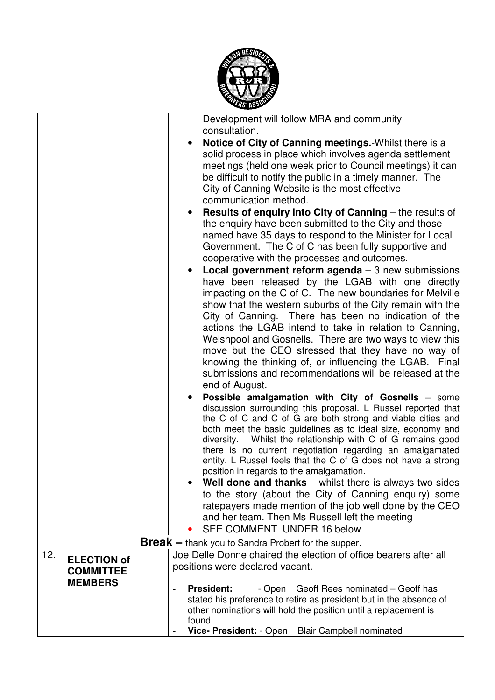

|     |                    | Development will follow MRA and community                                                                                                                      |  |  |  |  |
|-----|--------------------|----------------------------------------------------------------------------------------------------------------------------------------------------------------|--|--|--|--|
|     |                    | consultation.                                                                                                                                                  |  |  |  |  |
|     |                    | Notice of City of Canning meetings. Whilst there is a<br>$\bullet$<br>solid process in place which involves agenda settlement                                  |  |  |  |  |
|     |                    | meetings (held one week prior to Council meetings) it can                                                                                                      |  |  |  |  |
|     |                    | be difficult to notify the public in a timely manner. The                                                                                                      |  |  |  |  |
|     |                    | City of Canning Website is the most effective                                                                                                                  |  |  |  |  |
|     |                    | communication method.                                                                                                                                          |  |  |  |  |
|     |                    | <b>Results of enquiry into City of Canning - the results of</b><br>$\bullet$                                                                                   |  |  |  |  |
|     |                    | the enquiry have been submitted to the City and those                                                                                                          |  |  |  |  |
|     |                    | named have 35 days to respond to the Minister for Local                                                                                                        |  |  |  |  |
|     |                    | Government. The C of C has been fully supportive and                                                                                                           |  |  |  |  |
|     |                    | cooperative with the processes and outcomes.                                                                                                                   |  |  |  |  |
|     |                    | <b>Local government reform agenda</b> $-3$ new submissions<br>$\bullet$                                                                                        |  |  |  |  |
|     |                    | have been released by the LGAB with one directly<br>impacting on the C of C. The new boundaries for Melville                                                   |  |  |  |  |
|     |                    | show that the western suburbs of the City remain with the                                                                                                      |  |  |  |  |
|     |                    | City of Canning. There has been no indication of the                                                                                                           |  |  |  |  |
|     |                    | actions the LGAB intend to take in relation to Canning,                                                                                                        |  |  |  |  |
|     |                    | Welshpool and Gosnells. There are two ways to view this                                                                                                        |  |  |  |  |
|     |                    | move but the CEO stressed that they have no way of                                                                                                             |  |  |  |  |
|     |                    | knowing the thinking of, or influencing the LGAB. Final                                                                                                        |  |  |  |  |
|     |                    | submissions and recommendations will be released at the                                                                                                        |  |  |  |  |
|     |                    | end of August.                                                                                                                                                 |  |  |  |  |
|     |                    | Possible amalgamation with City of Gosnells - some<br>$\bullet$<br>discussion surrounding this proposal. L Russel reported that                                |  |  |  |  |
|     |                    | the C of C and C of G are both strong and viable cities and                                                                                                    |  |  |  |  |
|     |                    | both meet the basic guidelines as to ideal size, economy and                                                                                                   |  |  |  |  |
|     |                    | diversity. Whilst the relationship with C of G remains good                                                                                                    |  |  |  |  |
|     |                    | there is no current negotiation regarding an amalgamated                                                                                                       |  |  |  |  |
|     |                    | entity. L Russel feels that the C of G does not have a strong<br>position in regards to the amalgamation.                                                      |  |  |  |  |
|     |                    | Well done and thanks $-$ whilst there is always two sides                                                                                                      |  |  |  |  |
|     |                    | to the story (about the City of Canning enquiry) some                                                                                                          |  |  |  |  |
|     |                    | ratepayers made mention of the job well done by the CEO                                                                                                        |  |  |  |  |
|     |                    | and her team. Then Ms Russell left the meeting                                                                                                                 |  |  |  |  |
|     |                    | SEE COMMENT UNDER 16 below                                                                                                                                     |  |  |  |  |
|     |                    | <b>Break</b> - thank you to Sandra Probert for the supper.                                                                                                     |  |  |  |  |
| 12. | <b>ELECTION of</b> | Joe Delle Donne chaired the election of office bearers after all                                                                                               |  |  |  |  |
|     | <b>COMMITTEE</b>   | positions were declared vacant.                                                                                                                                |  |  |  |  |
|     | <b>MEMBERS</b>     |                                                                                                                                                                |  |  |  |  |
|     |                    | <b>President:</b><br>- Open Geoff Rees nominated - Geoff has<br>$\overline{\phantom{a}}$<br>stated his preference to retire as president but in the absence of |  |  |  |  |
|     |                    | other nominations will hold the position until a replacement is                                                                                                |  |  |  |  |
|     |                    | found.                                                                                                                                                         |  |  |  |  |
|     |                    | Vice- President: - Open Blair Campbell nominated                                                                                                               |  |  |  |  |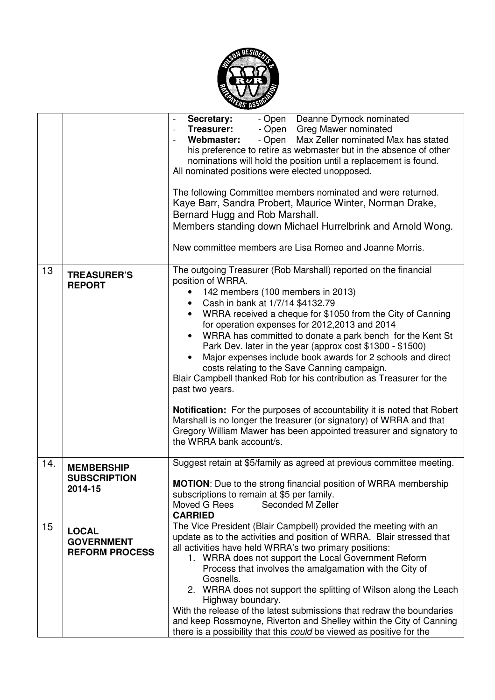

|     |                                                            | - Open Deanne Dymock nominated<br>Secretary:<br><b>Treasurer:</b><br>- Open Greg Mawer nominated<br>$\overline{\phantom{a}}$<br>- Open Max Zeller nominated Max has stated<br>Webmaster:<br>his preference to retire as webmaster but in the absence of other<br>nominations will hold the position until a replacement is found.<br>All nominated positions were elected unopposed.<br>The following Committee members nominated and were returned.<br>Kaye Barr, Sandra Probert, Maurice Winter, Norman Drake,<br>Bernard Hugg and Rob Marshall.<br>Members standing down Michael Hurrelbrink and Arnold Wong.<br>New committee members are Lisa Romeo and Joanne Morris.                                                                                                                                                                                                    |  |  |  |  |
|-----|------------------------------------------------------------|--------------------------------------------------------------------------------------------------------------------------------------------------------------------------------------------------------------------------------------------------------------------------------------------------------------------------------------------------------------------------------------------------------------------------------------------------------------------------------------------------------------------------------------------------------------------------------------------------------------------------------------------------------------------------------------------------------------------------------------------------------------------------------------------------------------------------------------------------------------------------------|--|--|--|--|
| 13  | <b>TREASURER'S</b><br><b>REPORT</b>                        | The outgoing Treasurer (Rob Marshall) reported on the financial<br>position of WRRA.<br>142 members (100 members in 2013)<br>Cash in bank at 1/7/14 \$4132.79<br>WRRA received a cheque for \$1050 from the City of Canning<br>for operation expenses for 2012, 2013 and 2014<br>WRRA has committed to donate a park bench for the Kent St<br>Park Dev. later in the year (approx cost \$1300 - \$1500)<br>Major expenses include book awards for 2 schools and direct<br>costs relating to the Save Canning campaign.<br>Blair Campbell thanked Rob for his contribution as Treasurer for the<br>past two years.<br><b>Notification:</b> For the purposes of accountability it is noted that Robert<br>Marshall is no longer the treasurer (or signatory) of WRRA and that<br>Gregory William Mawer has been appointed treasurer and signatory to<br>the WRRA bank account/s. |  |  |  |  |
| 14. | <b>MEMBERSHIP</b><br><b>SUBSCRIPTION</b><br>2014-15        | Suggest retain at \$5/family as agreed at previous committee meeting.<br><b>MOTION:</b> Due to the strong financial position of WRRA membership<br>subscriptions to remain at \$5 per family.<br>Moved G Rees<br>Seconded M Zeller<br><b>CARRIED</b>                                                                                                                                                                                                                                                                                                                                                                                                                                                                                                                                                                                                                           |  |  |  |  |
| 15  | <b>LOCAL</b><br><b>GOVERNMENT</b><br><b>REFORM PROCESS</b> | The Vice President (Blair Campbell) provided the meeting with an<br>update as to the activities and position of WRRA. Blair stressed that<br>all activities have held WRRA's two primary positions:<br>1. WRRA does not support the Local Government Reform<br>Process that involves the amalgamation with the City of<br>Gosnells.<br>2. WRRA does not support the splitting of Wilson along the Leach<br>Highway boundary.<br>With the release of the latest submissions that redraw the boundaries<br>and keep Rossmoyne, Riverton and Shelley within the City of Canning<br>there is a possibility that this could be viewed as positive for the                                                                                                                                                                                                                           |  |  |  |  |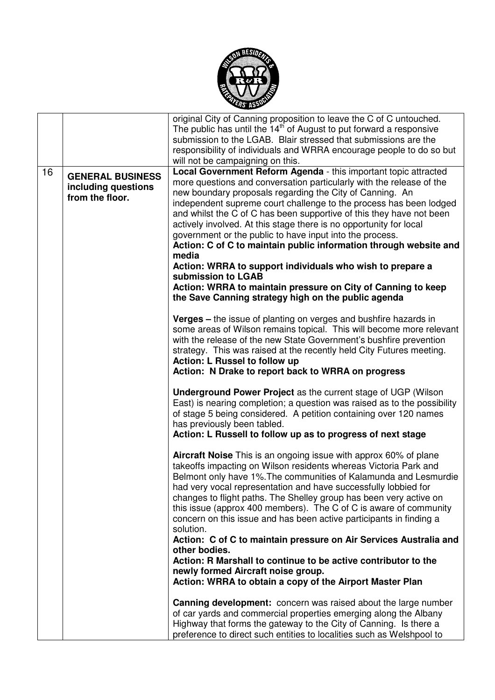

|    |                                                                   | original City of Canning proposition to leave the C of C untouched.<br>The public has until the $14th$ of August to put forward a responsive<br>submission to the LGAB. Blair stressed that submissions are the<br>responsibility of individuals and WRRA encourage people to do so but                                                                                                                                                                                                                                                                                                      |
|----|-------------------------------------------------------------------|----------------------------------------------------------------------------------------------------------------------------------------------------------------------------------------------------------------------------------------------------------------------------------------------------------------------------------------------------------------------------------------------------------------------------------------------------------------------------------------------------------------------------------------------------------------------------------------------|
| 16 | <b>GENERAL BUSINESS</b><br>including questions<br>from the floor. | will not be campaigning on this.<br>Local Government Reform Agenda - this important topic attracted<br>more questions and conversation particularly with the release of the<br>new boundary proposals regarding the City of Canning. An<br>independent supreme court challenge to the process has been lodged<br>and whilst the C of C has been supportive of this they have not been<br>actively involved. At this stage there is no opportunity for local<br>government or the public to have input into the process.<br>Action: C of C to maintain public information through website and |
|    |                                                                   | media<br>Action: WRRA to support individuals who wish to prepare a<br>submission to LGAB<br>Action: WRRA to maintain pressure on City of Canning to keep<br>the Save Canning strategy high on the public agenda                                                                                                                                                                                                                                                                                                                                                                              |
|    |                                                                   | Verges - the issue of planting on verges and bushfire hazards in<br>some areas of Wilson remains topical. This will become more relevant<br>with the release of the new State Government's bushfire prevention<br>strategy. This was raised at the recently held City Futures meeting.<br><b>Action: L Russel to follow up</b><br>Action: N Drake to report back to WRRA on progress                                                                                                                                                                                                         |
|    |                                                                   | <b>Underground Power Project</b> as the current stage of UGP (Wilson<br>East) is nearing completion; a question was raised as to the possibility<br>of stage 5 being considered. A petition containing over 120 names<br>has previously been tabled.<br>Action: L Russell to follow up as to progress of next stage                                                                                                                                                                                                                                                                          |
|    |                                                                   | Aircraft Noise This is an ongoing issue with approx 60% of plane<br>takeoffs impacting on Wilson residents whereas Victoria Park and<br>Belmont only have 1%. The communities of Kalamunda and Lesmurdie<br>had very vocal representation and have successfully lobbied for<br>changes to flight paths. The Shelley group has been very active on<br>this issue (approx 400 members). The C of C is aware of community<br>concern on this issue and has been active participants in finding a<br>solution.                                                                                   |
|    |                                                                   | Action: C of C to maintain pressure on Air Services Australia and<br>other bodies.<br>Action: R Marshall to continue to be active contributor to the<br>newly formed Aircraft noise group.<br>Action: WRRA to obtain a copy of the Airport Master Plan                                                                                                                                                                                                                                                                                                                                       |
|    |                                                                   | Canning development: concern was raised about the large number<br>of car yards and commercial properties emerging along the Albany<br>Highway that forms the gateway to the City of Canning. Is there a<br>preference to direct such entities to localities such as Welshpool to                                                                                                                                                                                                                                                                                                             |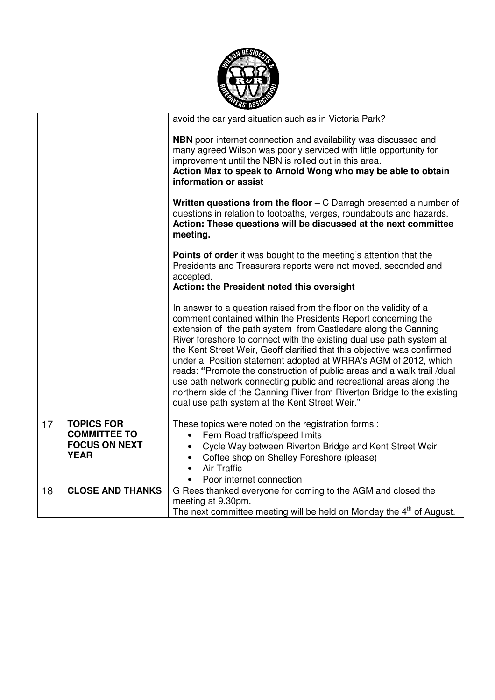

|    |                                                                                 | avoid the car yard situation such as in Victoria Park?                                                                                                                                                                                                                                                                                                                                                                                                                                                                                                                                                                                                                                                     |
|----|---------------------------------------------------------------------------------|------------------------------------------------------------------------------------------------------------------------------------------------------------------------------------------------------------------------------------------------------------------------------------------------------------------------------------------------------------------------------------------------------------------------------------------------------------------------------------------------------------------------------------------------------------------------------------------------------------------------------------------------------------------------------------------------------------|
|    |                                                                                 | <b>NBN</b> poor internet connection and availability was discussed and<br>many agreed Wilson was poorly serviced with little opportunity for<br>improvement until the NBN is rolled out in this area.<br>Action Max to speak to Arnold Wong who may be able to obtain<br>information or assist                                                                                                                                                                                                                                                                                                                                                                                                             |
|    |                                                                                 | Written questions from the floor $-$ C Darragh presented a number of<br>questions in relation to footpaths, verges, roundabouts and hazards.<br>Action: These questions will be discussed at the next committee<br>meeting.                                                                                                                                                                                                                                                                                                                                                                                                                                                                                |
|    |                                                                                 | <b>Points of order</b> it was bought to the meeting's attention that the<br>Presidents and Treasurers reports were not moved, seconded and<br>accepted.<br>Action: the President noted this oversight                                                                                                                                                                                                                                                                                                                                                                                                                                                                                                      |
|    |                                                                                 | In answer to a question raised from the floor on the validity of a<br>comment contained within the Presidents Report concerning the<br>extension of the path system from Castledare along the Canning<br>River foreshore to connect with the existing dual use path system at<br>the Kent Street Weir, Geoff clarified that this objective was confirmed<br>under a Position statement adopted at WRRA's AGM of 2012, which<br>reads: "Promote the construction of public areas and a walk trail /dual<br>use path network connecting public and recreational areas along the<br>northern side of the Canning River from Riverton Bridge to the existing<br>dual use path system at the Kent Street Weir." |
| 17 | <b>TOPICS FOR</b><br><b>COMMITTEE TO</b><br><b>FOCUS ON NEXT</b><br><b>YEAR</b> | These topics were noted on the registration forms :<br>Fern Road traffic/speed limits<br>$\bullet$<br>Cycle Way between Riverton Bridge and Kent Street Weir<br>Coffee shop on Shelley Foreshore (please)<br>$\bullet$<br><b>Air Traffic</b><br>$\bullet$<br>Poor internet connection                                                                                                                                                                                                                                                                                                                                                                                                                      |
| 18 | <b>CLOSE AND THANKS</b>                                                         | G Rees thanked everyone for coming to the AGM and closed the<br>meeting at 9.30pm.<br>The next committee meeting will be held on Monday the 4 <sup>th</sup> of August.                                                                                                                                                                                                                                                                                                                                                                                                                                                                                                                                     |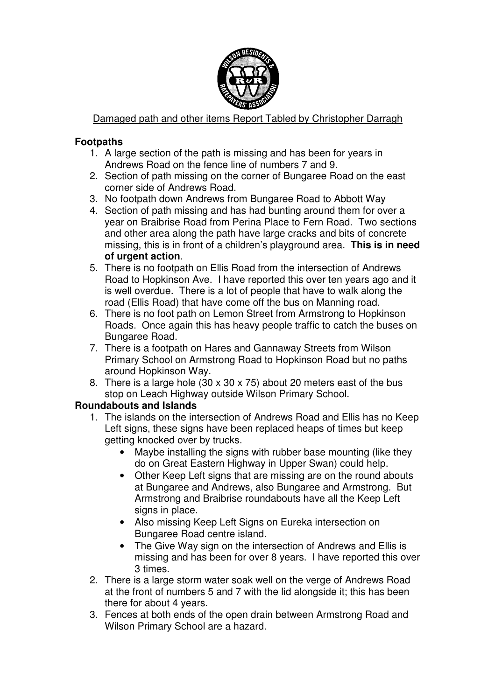

Damaged path and other items Report Tabled by Christopher Darragh

### **Footpaths**

- 1. A large section of the path is missing and has been for years in Andrews Road on the fence line of numbers 7 and 9.
- 2. Section of path missing on the corner of Bungaree Road on the east corner side of Andrews Road.
- 3. No footpath down Andrews from Bungaree Road to Abbott Way
- 4. Section of path missing and has had bunting around them for over a year on Braibrise Road from Perina Place to Fern Road. Two sections and other area along the path have large cracks and bits of concrete missing, this is in front of a children's playground area. **This is in need of urgent action**.
- 5. There is no footpath on Ellis Road from the intersection of Andrews Road to Hopkinson Ave. I have reported this over ten years ago and it is well overdue. There is a lot of people that have to walk along the road (Ellis Road) that have come off the bus on Manning road.
- 6. There is no foot path on Lemon Street from Armstrong to Hopkinson Roads. Once again this has heavy people traffic to catch the buses on Bungaree Road.
- 7. There is a footpath on Hares and Gannaway Streets from Wilson Primary School on Armstrong Road to Hopkinson Road but no paths around Hopkinson Way.
- 8. There is a large hole (30 x 30 x 75) about 20 meters east of the bus stop on Leach Highway outside Wilson Primary School.

#### **Roundabouts and Islands**

- 1. The islands on the intersection of Andrews Road and Ellis has no Keep Left signs, these signs have been replaced heaps of times but keep getting knocked over by trucks.
	- Maybe installing the signs with rubber base mounting (like they do on Great Eastern Highway in Upper Swan) could help.
	- Other Keep Left signs that are missing are on the round abouts at Bungaree and Andrews, also Bungaree and Armstrong. But Armstrong and Braibrise roundabouts have all the Keep Left signs in place.
	- Also missing Keep Left Signs on Eureka intersection on Bungaree Road centre island.
	- The Give Way sign on the intersection of Andrews and Ellis is missing and has been for over 8 years. I have reported this over 3 times.
- 2. There is a large storm water soak well on the verge of Andrews Road at the front of numbers 5 and 7 with the lid alongside it; this has been there for about 4 years.
- 3. Fences at both ends of the open drain between Armstrong Road and Wilson Primary School are a hazard.